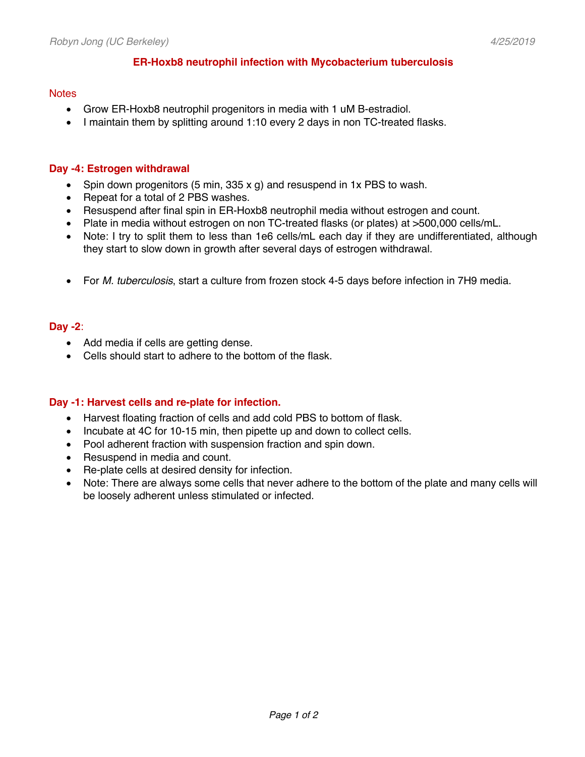## **ER-Hoxb8 neutrophil infection with Mycobacterium tuberculosis**

#### **Notes**

- Grow ER-Hoxb8 neutrophil progenitors in media with 1 uM B-estradiol.
- I maintain them by splitting around 1:10 every 2 days in non TC-treated flasks.

# **Day -4: Estrogen withdrawal**

- Spin down progenitors (5 min,  $335 \times g$ ) and resuspend in 1x PBS to wash.
- Repeat for a total of 2 PBS washes.
- Resuspend after final spin in ER-Hoxb8 neutrophil media without estrogen and count.
- Plate in media without estrogen on non TC-treated flasks (or plates) at >500,000 cells/mL.
- Note: I try to split them to less than 1e6 cells/mL each day if they are undifferentiated, although they start to slow down in growth after several days of estrogen withdrawal.
- For *M. tuberculosis*, start a culture from frozen stock 4-5 days before infection in 7H9 media.

### **Day -2**:

- Add media if cells are getting dense.
- Cells should start to adhere to the bottom of the flask.

### **Day -1: Harvest cells and re-plate for infection.**

- Harvest floating fraction of cells and add cold PBS to bottom of flask.
- Incubate at 4C for 10-15 min, then pipette up and down to collect cells.
- Pool adherent fraction with suspension fraction and spin down.
- Resuspend in media and count.
- Re-plate cells at desired density for infection.
- Note: There are always some cells that never adhere to the bottom of the plate and many cells will be loosely adherent unless stimulated or infected.